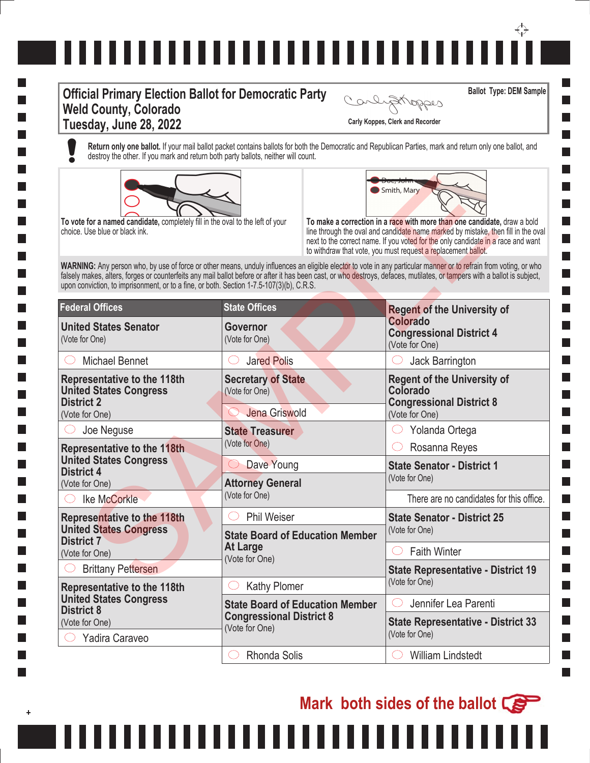## ↔ ,,,,,,,,,,,,,,,,,,,,,,,,,,,,,,

## **Official Primary Election Ballot for Democratic Party Weld County, Colorado Tuesday, June 28, 2022 Carly Koppes, Clerk and Recorder**

**Ballot Type: DEM Sample**

**I** 

 $\sim 10$ 

**I I College** 

Carlystroppes

**Return only one ballot.** If your mail ballot packet contains ballots for both the Democratic and Republican Parties, mark and return only one ballot, and destroy the other. If you mark and return both party ballots, neither will count.





**Mark both sides of the ballot** 

| To vote for a named candidate, completely fill in the oval to the left of your<br>choice. Use blue or black ink.<br>upon conviction, to imprisonment, or to a fine, or both. Section 1-7.5-107(3)(b), C.R.S. |                                                              | Smith, Mary<br>To make a correction in a race with more than one candidate, draw a bold<br>line through the oval and candidate name marked by mistake, then fill in the oval<br>next to the correct name. If you voted for the only candidate in a race and want<br>to withdraw that vote, you must request a replacement ballot.<br>WARNING: Any person who, by use of force or other means, unduly influences an eligible elector to vote in any particular manner or to refrain from voting, or who<br>falsely makes, alters, forges or counterfeits any mail ballot before or after it has been cast, or who destroys, defaces, mutilates, or tampers with a ballot is subject, |
|--------------------------------------------------------------------------------------------------------------------------------------------------------------------------------------------------------------|--------------------------------------------------------------|-------------------------------------------------------------------------------------------------------------------------------------------------------------------------------------------------------------------------------------------------------------------------------------------------------------------------------------------------------------------------------------------------------------------------------------------------------------------------------------------------------------------------------------------------------------------------------------------------------------------------------------------------------------------------------------|
| <b>Federal Offices</b>                                                                                                                                                                                       | <b>State Offices</b>                                         | <b>Regent of the University of</b>                                                                                                                                                                                                                                                                                                                                                                                                                                                                                                                                                                                                                                                  |
| <b>United States Senator</b><br>(Vote for One)                                                                                                                                                               | Governor<br>(Vote for One)                                   | Colorado<br><b>Congressional District 4</b><br>(Vote for One)                                                                                                                                                                                                                                                                                                                                                                                                                                                                                                                                                                                                                       |
| <b>Michael Bennet</b>                                                                                                                                                                                        | <b>Jared Polis</b>                                           | Jack Barrington                                                                                                                                                                                                                                                                                                                                                                                                                                                                                                                                                                                                                                                                     |
| <b>Representative to the 118th</b><br><b>United States Congress</b><br><b>District 2</b><br>(Vote for One)                                                                                                   | <b>Secretary of State</b><br>(Vote for One)<br>Jena Griswold | <b>Regent of the University of</b><br>Colorado<br><b>Congressional District 8</b><br>(Vote for One)                                                                                                                                                                                                                                                                                                                                                                                                                                                                                                                                                                                 |
| Joe Neguse                                                                                                                                                                                                   | <b>State Treasurer</b>                                       | Yolanda Ortega                                                                                                                                                                                                                                                                                                                                                                                                                                                                                                                                                                                                                                                                      |
| <b>Representative to the 118th</b><br><b>United States Congress</b><br><b>District 4</b>                                                                                                                     | (Vote for One)                                               | Rosanna Reyes                                                                                                                                                                                                                                                                                                                                                                                                                                                                                                                                                                                                                                                                       |
|                                                                                                                                                                                                              | Dave Young                                                   | <b>State Senator - District 1</b>                                                                                                                                                                                                                                                                                                                                                                                                                                                                                                                                                                                                                                                   |
| (Vote for One)                                                                                                                                                                                               | <b>Attorney General</b>                                      | (Vote for One)                                                                                                                                                                                                                                                                                                                                                                                                                                                                                                                                                                                                                                                                      |
| Ike McCorkle                                                                                                                                                                                                 | (Vote for One)                                               | There are no candidates for this office.                                                                                                                                                                                                                                                                                                                                                                                                                                                                                                                                                                                                                                            |
| <b>Representative to the 118th</b><br><b>United States Congress</b><br><b>District 7</b>                                                                                                                     | <b>Phil Weiser</b>                                           | <b>State Senator - District 25</b>                                                                                                                                                                                                                                                                                                                                                                                                                                                                                                                                                                                                                                                  |
|                                                                                                                                                                                                              | <b>State Board of Education Member</b>                       | (Vote for One)                                                                                                                                                                                                                                                                                                                                                                                                                                                                                                                                                                                                                                                                      |
| (Vote for One)                                                                                                                                                                                               | <b>At Large</b><br>(Vote for One)                            | <b>Faith Winter</b>                                                                                                                                                                                                                                                                                                                                                                                                                                                                                                                                                                                                                                                                 |
| <b>Brittany Pettersen</b>                                                                                                                                                                                    |                                                              | <b>State Representative - District 19</b>                                                                                                                                                                                                                                                                                                                                                                                                                                                                                                                                                                                                                                           |
| <b>Representative to the 118th</b><br><b>United States Congress</b><br><b>District 8</b><br>(Vote for One)                                                                                                   | <b>Kathy Plomer</b>                                          | (Vote for One)                                                                                                                                                                                                                                                                                                                                                                                                                                                                                                                                                                                                                                                                      |
|                                                                                                                                                                                                              | <b>State Board of Education Member</b>                       | Jennifer Lea Parenti                                                                                                                                                                                                                                                                                                                                                                                                                                                                                                                                                                                                                                                                |
|                                                                                                                                                                                                              | <b>Congressional District 8</b><br>(Vote for One)            | <b>State Representative - District 33</b>                                                                                                                                                                                                                                                                                                                                                                                                                                                                                                                                                                                                                                           |
| Yadira Caraveo                                                                                                                                                                                               |                                                              | (Vote for One)                                                                                                                                                                                                                                                                                                                                                                                                                                                                                                                                                                                                                                                                      |
|                                                                                                                                                                                                              | <b>Rhonda Solis</b>                                          | <b>William Lindstedt</b>                                                                                                                                                                                                                                                                                                                                                                                                                                                                                                                                                                                                                                                            |

,,,,,,,,

 $\ddot{}$ 

l a